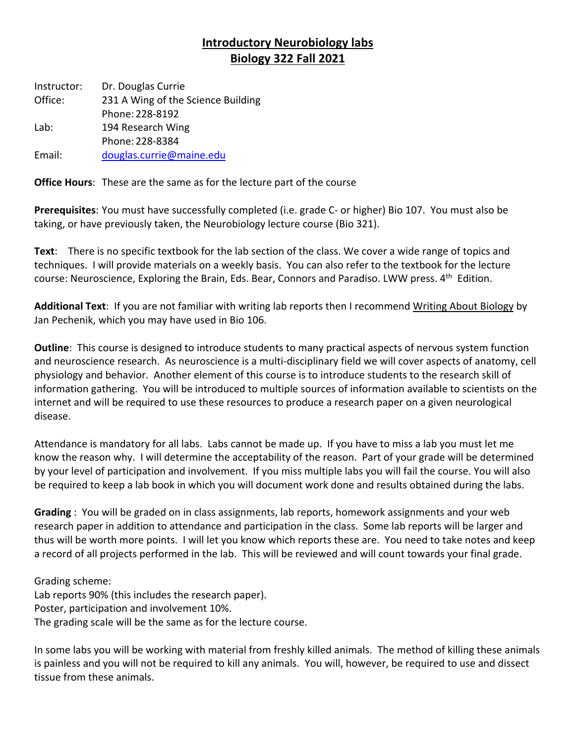## **Introductory Neurobiology labs Biology 322 Fall 2021**

Instructor: Office: Lab: Email: Dr. Douglas Currie 231 A Wing of the Science Building Phone: 228-8192 194 Research Wing Phone: 228-8384 [douglas.currie@maine.edu](mailto:douglas.currie@maine.edu)

**Office Hours**: These are the same as for the lecture part of the course

 **Prerequisites**: You must have successfully completed (i.e. grade C- or higher) Bio 107. You must also be taking, or have previously taken, the Neurobiology lecture course (Bio 321).

 **Text**: There is no specific textbook for the lab section of the class. We cover a wide range of topics and techniques. I will provide materials on a weekly basis. You can also refer to the textbook for the lecture course: Neuroscience, Exploring the Brain, Eds. Bear, Connors and Paradiso. LWW press. 4<sup>th</sup> Edition.

 **Additional Text**: If you are not familiar with writing lab reports then I recommend Writing About Biology by Jan Pechenik, which you may have used in Bio 106.

 **Outline**: This course is designed to introduce students to many practical aspects of nervous system function and neuroscience research. As neuroscience is a multi-disciplinary field we will cover aspects of anatomy, cell physiology and behavior. Another element of this course is to introduce students to the research skill of information gathering. You will be introduced to multiple sources of information available to scientists on the internet and will be required to use these resources to produce a research paper on a given neurological disease.

 Attendance is mandatory for all labs. Labs cannot be made up. If you have to miss a lab you must let me know the reason why. I will determine the acceptability of the reason. Part of your grade will be determined by your level of participation and involvement. If you miss multiple labs you will fail the course. You will also be required to keep a lab book in which you will document work done and results obtained during the labs.

 **Grading** : You will be graded on in class assignments, lab reports, homework assignments and your web research paper in addition to attendance and participation in the class. Some lab reports will be larger and thus will be worth more points. I will let you know which reports these are. You need to take notes and keep a record of all projects performed in the lab. This will be reviewed and will count towards your final grade.

 Grading scheme: Lab reports 90% (this includes the research paper). Poster, participation and involvement 10%. The grading scale will be the same as for the lecture course.

 In some labs you will be working with material from freshly killed animals. The method of killing these animals is painless and you will not be required to kill any animals. You will, however, be required to use and dissect tissue from these animals.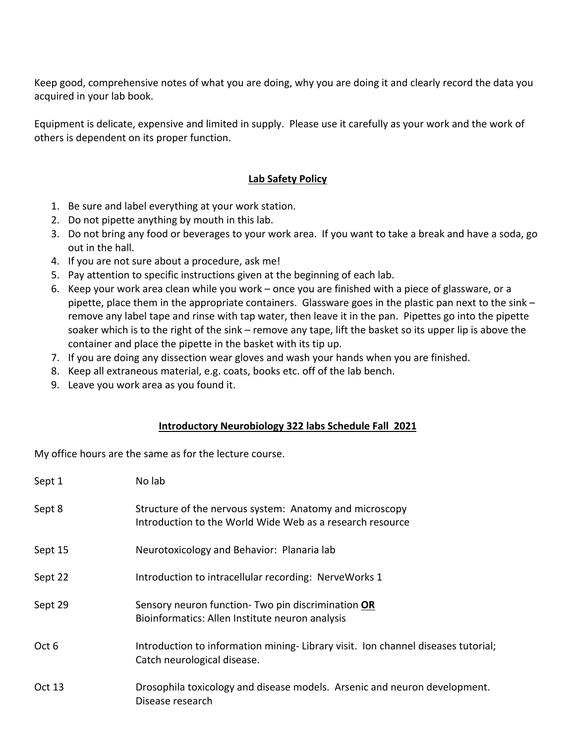Keep good, comprehensive notes of what you are doing, why you are doing it and clearly record the data you acquired in your lab book.

 Equipment is delicate, expensive and limited in supply. Please use it carefully as your work and the work of others is dependent on its proper function.

## **Lab Safety Policy**

- 1. Be sure and label everything at your work station.
- 2. Do not pipette anything by mouth in this lab.
- 3. Do not bring any food or beverages to your work area. If you want to take a break and have a soda, go out in the hall.
- 4. If you are not sure about a procedure, ask me!
- 5. Pay attention to specific instructions given at the beginning of each lab.
- 6. Keep your work area clean while you work once you are finished with a piece of glassware, or a pipette, place them in the appropriate containers. Glassware goes in the plastic pan next to the sink – remove any label tape and rinse with tap water, then leave it in the pan. Pipettes go into the pipette soaker which is to the right of the sink – remove any tape, lift the basket so its upper lip is above the container and place the pipette in the basket with its tip up.
- 7. If you are doing any dissection wear gloves and wash your hands when you are finished.
- 8. Keep all extraneous material, e.g. coats, books etc. off of the lab bench.
- 9. Leave you work area as you found it.

## **Introductory Neurobiology 322 labs Schedule Fall 2021**

My office hours are the same as for the lecture course.

| Sept 1  | No lab                                                                                                               |
|---------|----------------------------------------------------------------------------------------------------------------------|
| Sept 8  | Structure of the nervous system: Anatomy and microscopy<br>Introduction to the World Wide Web as a research resource |
| Sept 15 | Neurotoxicology and Behavior: Planaria lab                                                                           |
| Sept 22 | Introduction to intracellular recording: NerveWorks 1                                                                |
| Sept 29 | Sensory neuron function- Two pin discrimination OR<br>Bioinformatics: Allen Institute neuron analysis                |
| Oct 6   | Introduction to information mining-Library visit. Ion channel diseases tutorial;<br>Catch neurological disease.      |
| Oct 13  | Drosophila toxicology and disease models. Arsenic and neuron development.<br>Disease research                        |